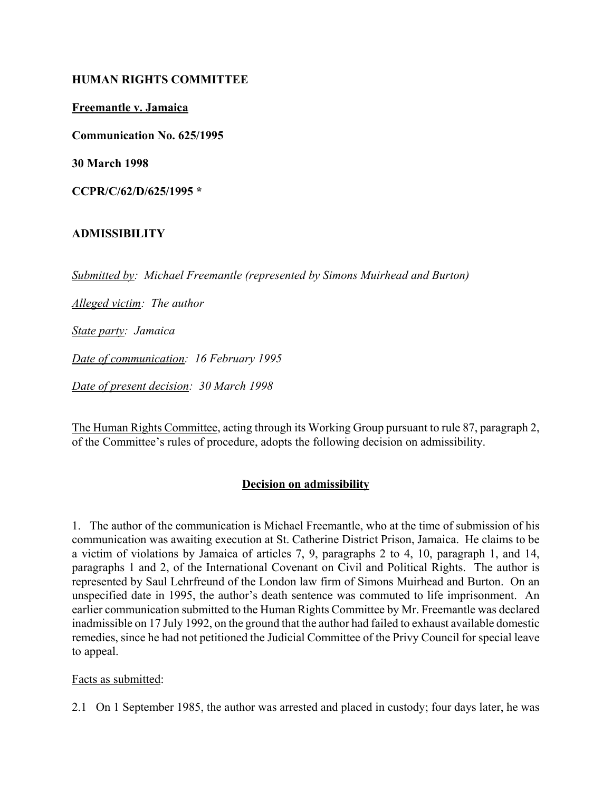### **HUMAN RIGHTS COMMITTEE**

**Freemantle v. Jamaica**

**Communication No. 625/1995**

**30 March 1998**

**CCPR/C/62/D/625/1995 \***

## **ADMISSIBILITY**

*Submitted by: Michael Freemantle (represented by Simons Muirhead and Burton)*

*Alleged victim: The author*

*State party: Jamaica*

*Date of communication: 16 February 1995*

*Date of present decision: 30 March 1998*

The Human Rights Committee, acting through its Working Group pursuant to rule 87, paragraph 2, of the Committee's rules of procedure, adopts the following decision on admissibility.

## **Decision on admissibility**

1. The author of the communication is Michael Freemantle, who at the time of submission of his communication was awaiting execution at St. Catherine District Prison, Jamaica. He claims to be a victim of violations by Jamaica of articles 7, 9, paragraphs 2 to 4, 10, paragraph 1, and 14, paragraphs 1 and 2, of the International Covenant on Civil and Political Rights. The author is represented by Saul Lehrfreund of the London law firm of Simons Muirhead and Burton. On an unspecified date in 1995, the author's death sentence was commuted to life imprisonment. An earlier communication submitted to the Human Rights Committee by Mr. Freemantle was declared inadmissible on 17 July 1992, on the ground that the author had failed to exhaust available domestic remedies, since he had not petitioned the Judicial Committee of the Privy Council for special leave to appeal.

#### Facts as submitted:

2.1 On 1 September 1985, the author was arrested and placed in custody; four days later, he was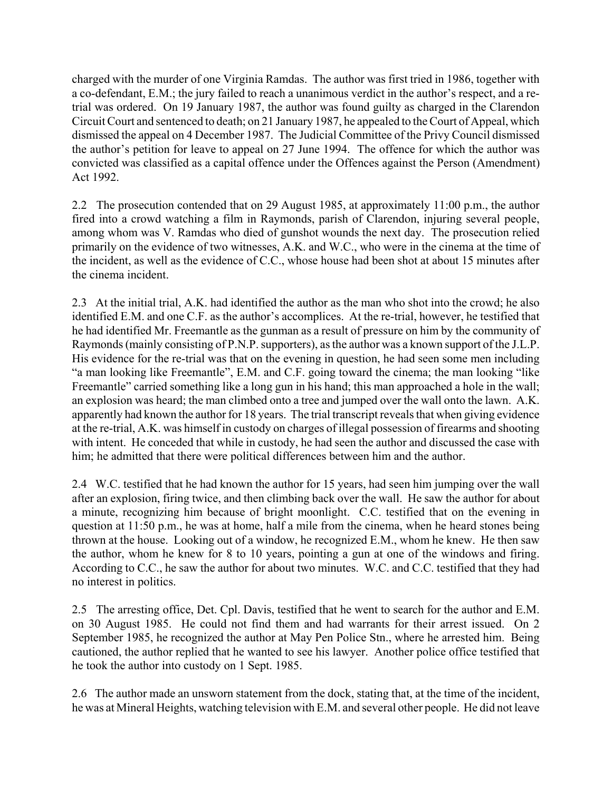charged with the murder of one Virginia Ramdas. The author was first tried in 1986, together with a co-defendant, E.M.; the jury failed to reach a unanimous verdict in the author's respect, and a retrial was ordered. On 19 January 1987, the author was found guilty as charged in the Clarendon Circuit Court and sentenced to death; on 21 January 1987, he appealed to the Court of Appeal, which dismissed the appeal on 4 December 1987. The Judicial Committee of the Privy Council dismissed the author's petition for leave to appeal on 27 June 1994. The offence for which the author was convicted was classified as a capital offence under the Offences against the Person (Amendment) Act 1992.

2.2 The prosecution contended that on 29 August 1985, at approximately 11:00 p.m., the author fired into a crowd watching a film in Raymonds, parish of Clarendon, injuring several people, among whom was V. Ramdas who died of gunshot wounds the next day. The prosecution relied primarily on the evidence of two witnesses, A.K. and W.C., who were in the cinema at the time of the incident, as well as the evidence of C.C., whose house had been shot at about 15 minutes after the cinema incident.

2.3 At the initial trial, A.K. had identified the author as the man who shot into the crowd; he also identified E.M. and one C.F. as the author's accomplices. At the re-trial, however, he testified that he had identified Mr. Freemantle as the gunman as a result of pressure on him by the community of Raymonds (mainly consisting of P.N.P. supporters), as the author was a known support of the J.L.P. His evidence for the re-trial was that on the evening in question, he had seen some men including "a man looking like Freemantle", E.M. and C.F. going toward the cinema; the man looking "like" Freemantle" carried something like a long gun in his hand; this man approached a hole in the wall; an explosion was heard; the man climbed onto a tree and jumped over the wall onto the lawn. A.K. apparently had known the author for 18 years. The trial transcript reveals that when giving evidence at the re-trial, A.K. was himself in custody on charges of illegal possession of firearms and shooting with intent. He conceded that while in custody, he had seen the author and discussed the case with him; he admitted that there were political differences between him and the author.

2.4 W.C. testified that he had known the author for 15 years, had seen him jumping over the wall after an explosion, firing twice, and then climbing back over the wall. He saw the author for about a minute, recognizing him because of bright moonlight. C.C. testified that on the evening in question at 11:50 p.m., he was at home, half a mile from the cinema, when he heard stones being thrown at the house. Looking out of a window, he recognized E.M., whom he knew. He then saw the author, whom he knew for 8 to 10 years, pointing a gun at one of the windows and firing. According to C.C., he saw the author for about two minutes. W.C. and C.C. testified that they had no interest in politics.

2.5 The arresting office, Det. Cpl. Davis, testified that he went to search for the author and E.M. on 30 August 1985. He could not find them and had warrants for their arrest issued. On 2 September 1985, he recognized the author at May Pen Police Stn., where he arrested him. Being cautioned, the author replied that he wanted to see his lawyer. Another police office testified that he took the author into custody on 1 Sept. 1985.

2.6 The author made an unsworn statement from the dock, stating that, at the time of the incident, he was at Mineral Heights, watching television with E.M. and several other people. He did not leave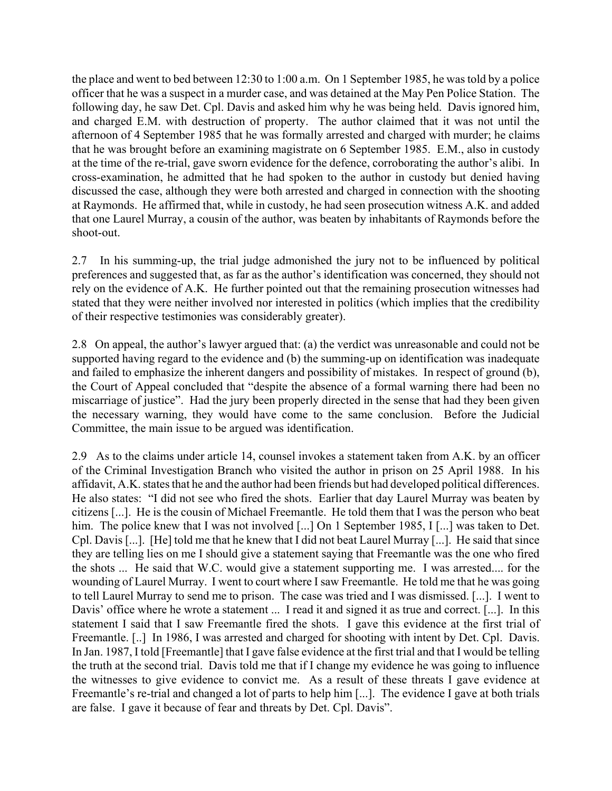the place and went to bed between 12:30 to 1:00 a.m. On 1 September 1985, he was told by a police officer that he was a suspect in a murder case, and was detained at the May Pen Police Station. The following day, he saw Det. Cpl. Davis and asked him why he was being held. Davis ignored him, and charged E.M. with destruction of property. The author claimed that it was not until the afternoon of 4 September 1985 that he was formally arrested and charged with murder; he claims that he was brought before an examining magistrate on 6 September 1985. E.M., also in custody at the time of the re-trial, gave sworn evidence for the defence, corroborating the author's alibi. In cross-examination, he admitted that he had spoken to the author in custody but denied having discussed the case, although they were both arrested and charged in connection with the shooting at Raymonds. He affirmed that, while in custody, he had seen prosecution witness A.K. and added that one Laurel Murray, a cousin of the author, was beaten by inhabitants of Raymonds before the shoot-out.

2.7 In his summing-up, the trial judge admonished the jury not to be influenced by political preferences and suggested that, as far as the author's identification was concerned, they should not rely on the evidence of A.K. He further pointed out that the remaining prosecution witnesses had stated that they were neither involved nor interested in politics (which implies that the credibility of their respective testimonies was considerably greater).

2.8 On appeal, the author's lawyer argued that: (a) the verdict was unreasonable and could not be supported having regard to the evidence and (b) the summing-up on identification was inadequate and failed to emphasize the inherent dangers and possibility of mistakes. In respect of ground (b), the Court of Appeal concluded that "despite the absence of a formal warning there had been no miscarriage of justice". Had the jury been properly directed in the sense that had they been given the necessary warning, they would have come to the same conclusion. Before the Judicial Committee, the main issue to be argued was identification.

2.9 As to the claims under article 14, counsel invokes a statement taken from A.K. by an officer of the Criminal Investigation Branch who visited the author in prison on 25 April 1988. In his affidavit, A.K. states that he and the author had been friends but had developed political differences. He also states: "I did not see who fired the shots. Earlier that day Laurel Murray was beaten by citizens [...]. He is the cousin of Michael Freemantle. He told them that I was the person who beat him. The police knew that I was not involved [...] On 1 September 1985, I [...] was taken to Det. Cpl. Davis [...]. [He] told me that he knew that I did not beat Laurel Murray [...]. He said that since they are telling lies on me I should give a statement saying that Freemantle was the one who fired the shots ... He said that W.C. would give a statement supporting me. I was arrested.... for the wounding of Laurel Murray. I went to court where I saw Freemantle. He told me that he was going to tell Laurel Murray to send me to prison. The case was tried and I was dismissed. [...]. I went to Davis' office where he wrote a statement ... I read it and signed it as true and correct. [...]. In this statement I said that I saw Freemantle fired the shots. I gave this evidence at the first trial of Freemantle. [..] In 1986, I was arrested and charged for shooting with intent by Det. Cpl. Davis. In Jan. 1987, I told [Freemantle] that I gave false evidence at the first trial and that I would be telling the truth at the second trial. Davis told me that if I change my evidence he was going to influence the witnesses to give evidence to convict me. As a result of these threats I gave evidence at Freemantle's re-trial and changed a lot of parts to help him [...]. The evidence I gave at both trials are false. I gave it because of fear and threats by Det. Cpl. Davis".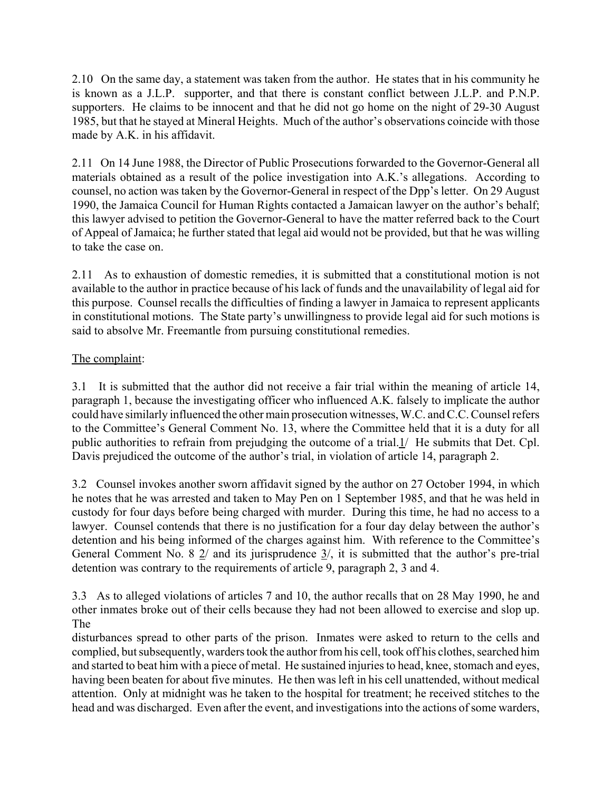2.10 On the same day, a statement was taken from the author. He states that in his community he is known as a J.L.P. supporter, and that there is constant conflict between J.L.P. and P.N.P. supporters. He claims to be innocent and that he did not go home on the night of 29-30 August 1985, but that he stayed at Mineral Heights. Much of the author's observations coincide with those made by A.K. in his affidavit.

2.11 On 14 June 1988, the Director of Public Prosecutions forwarded to the Governor-General all materials obtained as a result of the police investigation into A.K.'s allegations. According to counsel, no action was taken by the Governor-General in respect of the Dpp's letter. On 29 August 1990, the Jamaica Council for Human Rights contacted a Jamaican lawyer on the author's behalf; this lawyer advised to petition the Governor-General to have the matter referred back to the Court of Appeal of Jamaica; he further stated that legal aid would not be provided, but that he was willing to take the case on.

2.11 As to exhaustion of domestic remedies, it is submitted that a constitutional motion is not available to the author in practice because of his lack of funds and the unavailability of legal aid for this purpose. Counsel recalls the difficulties of finding a lawyer in Jamaica to represent applicants in constitutional motions. The State party's unwillingness to provide legal aid for such motions is said to absolve Mr. Freemantle from pursuing constitutional remedies.

# The complaint:

3.1 It is submitted that the author did not receive a fair trial within the meaning of article 14, paragraph 1, because the investigating officer who influenced A.K. falsely to implicate the author could have similarly influenced the other main prosecution witnesses, W.C. and C.C. Counsel refers to the Committee's General Comment No. 13, where the Committee held that it is a duty for all public authorities to refrain from prejudging the outcome of a trial.1/ He submits that Det. Cpl. Davis prejudiced the outcome of the author's trial, in violation of article 14, paragraph 2.

3.2 Counsel invokes another sworn affidavit signed by the author on 27 October 1994, in which he notes that he was arrested and taken to May Pen on 1 September 1985, and that he was held in custody for four days before being charged with murder. During this time, he had no access to a lawyer. Counsel contends that there is no justification for a four day delay between the author's detention and his being informed of the charges against him. With reference to the Committee's General Comment No. 8  $\frac{2}{1}$  and its jurisprudence  $\frac{3}{1}$ , it is submitted that the author's pre-trial detention was contrary to the requirements of article 9, paragraph 2, 3 and 4.

3.3 As to alleged violations of articles 7 and 10, the author recalls that on 28 May 1990, he and other inmates broke out of their cells because they had not been allowed to exercise and slop up. The

disturbances spread to other parts of the prison. Inmates were asked to return to the cells and complied, but subsequently, warders took the author from his cell, took off his clothes, searched him and started to beat him with a piece of metal. He sustained injuries to head, knee, stomach and eyes, having been beaten for about five minutes. He then was left in his cell unattended, without medical attention. Only at midnight was he taken to the hospital for treatment; he received stitches to the head and was discharged. Even after the event, and investigations into the actions of some warders,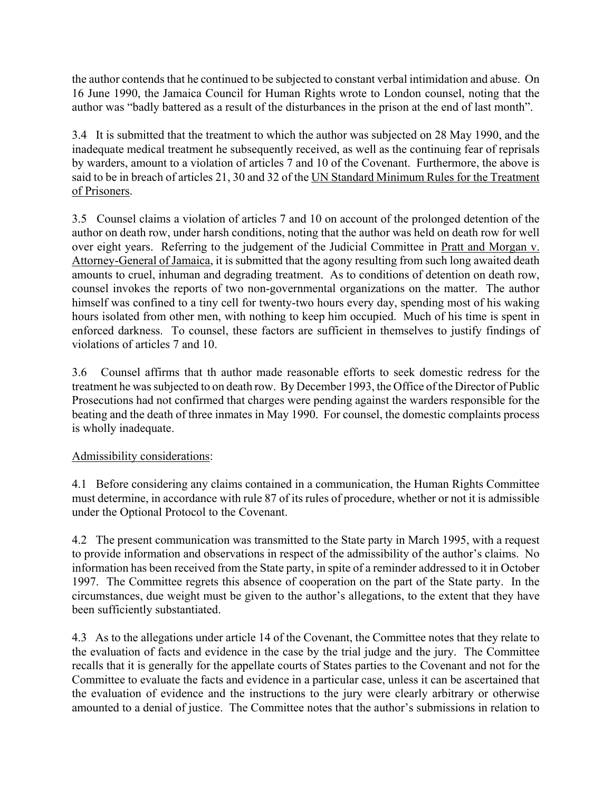the author contends that he continued to be subjected to constant verbal intimidation and abuse. On 16 June 1990, the Jamaica Council for Human Rights wrote to London counsel, noting that the author was "badly battered as a result of the disturbances in the prison at the end of last month".

3.4 It is submitted that the treatment to which the author was subjected on 28 May 1990, and the inadequate medical treatment he subsequently received, as well as the continuing fear of reprisals by warders, amount to a violation of articles 7 and 10 of the Covenant. Furthermore, the above is said to be in breach of articles 21, 30 and 32 of the UN Standard Minimum Rules for the Treatment of Prisoners.

3.5 Counsel claims a violation of articles 7 and 10 on account of the prolonged detention of the author on death row, under harsh conditions, noting that the author was held on death row for well over eight years. Referring to the judgement of the Judicial Committee in Pratt and Morgan v. Attorney-General of Jamaica, it is submitted that the agony resulting from such long awaited death amounts to cruel, inhuman and degrading treatment. As to conditions of detention on death row, counsel invokes the reports of two non-governmental organizations on the matter. The author himself was confined to a tiny cell for twenty-two hours every day, spending most of his waking hours isolated from other men, with nothing to keep him occupied. Much of his time is spent in enforced darkness. To counsel, these factors are sufficient in themselves to justify findings of violations of articles 7 and 10.

3.6 Counsel affirms that th author made reasonable efforts to seek domestic redress for the treatment he was subjected to on death row. By December 1993, the Office of the Director of Public Prosecutions had not confirmed that charges were pending against the warders responsible for the beating and the death of three inmates in May 1990. For counsel, the domestic complaints process is wholly inadequate.

# Admissibility considerations:

4.1 Before considering any claims contained in a communication, the Human Rights Committee must determine, in accordance with rule 87 of its rules of procedure, whether or not it is admissible under the Optional Protocol to the Covenant.

4.2 The present communication was transmitted to the State party in March 1995, with a request to provide information and observations in respect of the admissibility of the author's claims. No information has been received from the State party, in spite of a reminder addressed to it in October 1997. The Committee regrets this absence of cooperation on the part of the State party. In the circumstances, due weight must be given to the author's allegations, to the extent that they have been sufficiently substantiated.

4.3 As to the allegations under article 14 of the Covenant, the Committee notes that they relate to the evaluation of facts and evidence in the case by the trial judge and the jury. The Committee recalls that it is generally for the appellate courts of States parties to the Covenant and not for the Committee to evaluate the facts and evidence in a particular case, unless it can be ascertained that the evaluation of evidence and the instructions to the jury were clearly arbitrary or otherwise amounted to a denial of justice. The Committee notes that the author's submissions in relation to